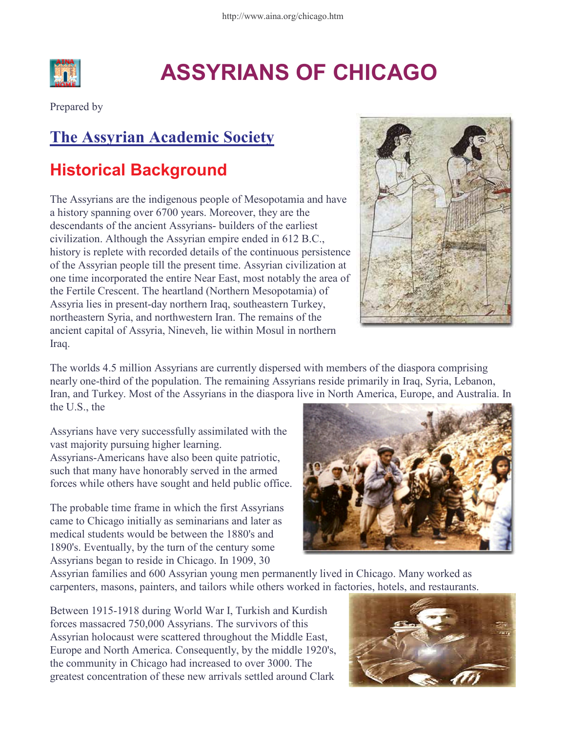

# ASSYRIANS OF CHICAGO

Prepared by

## The Assyrian Academic Society

## Historical Background

The Assyrians are the indigenous people of Mesopotamia and have a history spanning over 6700 years. Moreover, they are the descendants of the ancient Assyrians- builders of the earliest civilization. Although the Assyrian empire ended in 612 B.C., history is replete with recorded details of the continuous persistence of the Assyrian people till the present time. Assyrian civilization at one time incorporated the entire Near East, most notably the area of the Fertile Crescent. The heartland (Northern Mesopotamia) of Assyria lies in present-day northern Iraq, southeastern Turkey, northeastern Syria, and northwestern Iran. The remains of the ancient capital of Assyria, Nineveh, lie within Mosul in northern Iraq.



The worlds 4.5 million Assyrians are currently dispersed with members of the diaspora comprising nearly one-third of the population. The remaining Assyrians reside primarily in Iraq, Syria, Lebanon, Iran, and Turkey. Most of the Assyrians in the diaspora live in North America, Europe, and Australia. In the U.S., the

Assyrians have very successfully assimilated with the vast majority pursuing higher learning. Assyrians-Americans have also been quite patriotic, such that many have honorably served in the armed forces while others have sought and held public office.

The probable time frame in which the first Assyrians came to Chicago initially as seminarians and later as medical students would be between the 1880's and 1890's. Eventually, by the turn of the century some Assyrians began to reside in Chicago. In 1909, 30



Assyrian families and 600 Assyrian young men permanently lived in Chicago. Many worked as carpenters, masons, painters, and tailors while others worked in factories, hotels, and restaurants.

Between 1915-1918 during World War I, Turkish and Kurdish forces massacred 750,000 Assyrians. The survivors of this Assyrian holocaust were scattered throughout the Middle East, Europe and North America. Consequently, by the middle 1920's, the community in Chicago had increased to over 3000. The greatest concentration of these new arrivals settled around Clark

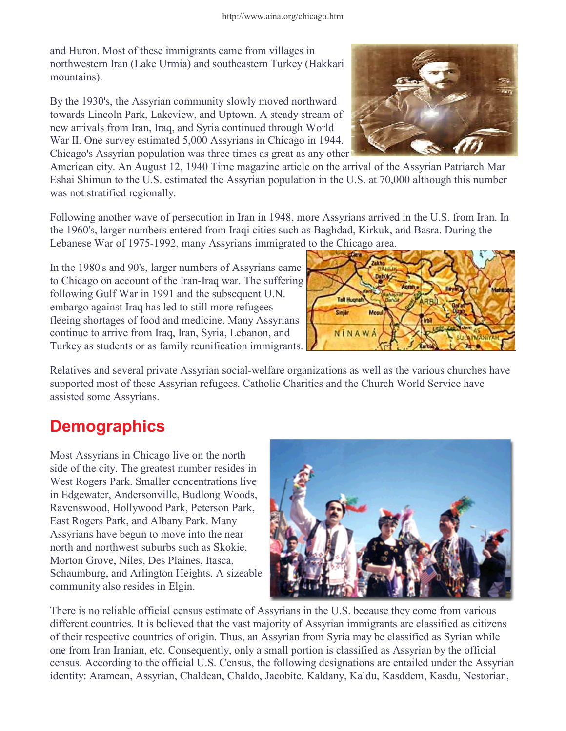and Huron. Most of these immigrants came from villages in northwestern Iran (Lake Urmia) and southeastern Turkey (Hakkari mountains).

By the 1930's, the Assyrian community slowly moved northward towards Lincoln Park, Lakeview, and Uptown. A steady stream of new arrivals from Iran, Iraq, and Syria continued through World War II. One survey estimated 5,000 Assyrians in Chicago in 1944. Chicago's Assyrian population was three times as great as any other



American city. An August 12, 1940 Time magazine article on the arrival of the Assyrian Patriarch Mar Eshai Shimun to the U.S. estimated the Assyrian population in the U.S. at 70,000 although this number was not stratified regionally.

Following another wave of persecution in Iran in 1948, more Assyrians arrived in the U.S. from Iran. In the 1960's, larger numbers entered from Iraqi cities such as Baghdad, Kirkuk, and Basra. During the Lebanese War of 1975-1992, many Assyrians immigrated to the Chicago area.

In the 1980's and 90's, larger numbers of Assyrians came to Chicago on account of the Iran-Iraq war. The suffering following Gulf War in 1991 and the subsequent U.N. embargo against Iraq has led to still more refugees fleeing shortages of food and medicine. Many Assyrians continue to arrive from Iraq, Iran, Syria, Lebanon, and Turkey as students or as family reunification immigrants.



Relatives and several private Assyrian social-welfare organizations as well as the various churches have supported most of these Assyrian refugees. Catholic Charities and the Church World Service have assisted some Assyrians.

## **Demographics**

Most Assyrians in Chicago live on the north side of the city. The greatest number resides in West Rogers Park. Smaller concentrations live in Edgewater, Andersonville, Budlong Woods, Ravenswood, Hollywood Park, Peterson Park, East Rogers Park, and Albany Park. Many Assyrians have begun to move into the near north and northwest suburbs such as Skokie, Morton Grove, Niles, Des Plaines, Itasca, Schaumburg, and Arlington Heights. A sizeable community also resides in Elgin.



There is no reliable official census estimate of Assyrians in the U.S. because they come from various different countries. It is believed that the vast majority of Assyrian immigrants are classified as citizens of their respective countries of origin. Thus, an Assyrian from Syria may be classified as Syrian while one from Iran Iranian, etc. Consequently, only a small portion is classified as Assyrian by the official census. According to the official U.S. Census, the following designations are entailed under the Assyrian identity: Aramean, Assyrian, Chaldean, Chaldo, Jacobite, Kaldany, Kaldu, Kasddem, Kasdu, Nestorian,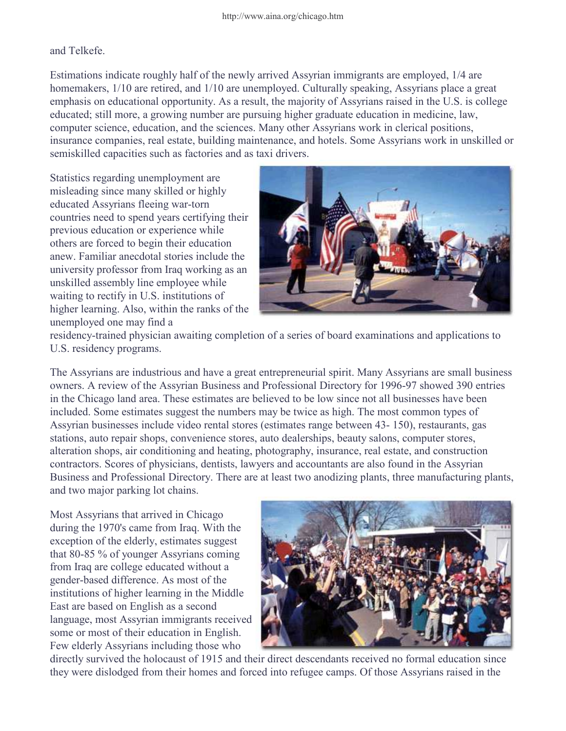and Telkefe.

Estimations indicate roughly half of the newly arrived Assyrian immigrants are employed, 1/4 are homemakers,  $1/10$  are retired, and  $1/10$  are unemployed. Culturally speaking, Assyrians place a great emphasis on educational opportunity. As a result, the majority of Assyrians raised in the U.S. is college educated; still more, a growing number are pursuing higher graduate education in medicine, law, computer science, education, and the sciences. Many other Assyrians work in clerical positions, insurance companies, real estate, building maintenance, and hotels. Some Assyrians work in unskilled or semiskilled capacities such as factories and as taxi drivers.

Statistics regarding unemployment are misleading since many skilled or highly educated Assyrians fleeing war-torn countries need to spend years certifying their previous education or experience while others are forced to begin their education anew. Familiar anecdotal stories include the university professor from Iraq working as an unskilled assembly line employee while waiting to rectify in U.S. institutions of higher learning. Also, within the ranks of the unemployed one may find a



residency-trained physician awaiting completion of a series of board examinations and applications to U.S. residency programs.

The Assyrians are industrious and have a great entrepreneurial spirit. Many Assyrians are small business owners. A review of the Assyrian Business and Professional Directory for 1996-97 showed 390 entries in the Chicago land area. These estimates are believed to be low since not all businesses have been included. Some estimates suggest the numbers may be twice as high. The most common types of Assyrian businesses include video rental stores (estimates range between 43- 150), restaurants, gas stations, auto repair shops, convenience stores, auto dealerships, beauty salons, computer stores, alteration shops, air conditioning and heating, photography, insurance, real estate, and construction contractors. Scores of physicians, dentists, lawyers and accountants are also found in the Assyrian Business and Professional Directory. There are at least two anodizing plants, three manufacturing plants, and two major parking lot chains.

Most Assyrians that arrived in Chicago during the 1970's came from Iraq. With the exception of the elderly, estimates suggest that 80-85 % of younger Assyrians coming from Iraq are college educated without a gender-based difference. As most of the institutions of higher learning in the Middle East are based on English as a second language, most Assyrian immigrants received some or most of their education in English. Few elderly Assyrians including those who



directly survived the holocaust of 1915 and their direct descendants received no formal education since they were dislodged from their homes and forced into refugee camps. Of those Assyrians raised in the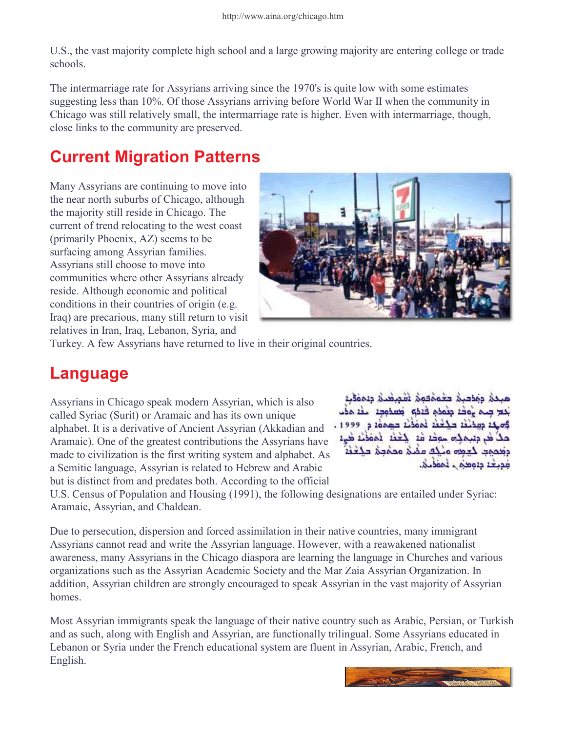U.S., the vast majority complete high school and a large growing majority are entering college or trade schools.

The intermarriage rate for Assyrians arriving since the 1970's is quite low with some estimates suggesting less than 10%. Of those Assyrians arriving before World War II when the community in Chicago was still relatively small, the intermarriage rate is higher. Even with intermarriage, though, close links to the community are preserved.

#### Current Migration Patterns

Many Assyrians are continuing to move into the near north suburbs of Chicago, although the majority still reside in Chicago. The current of trend relocating to the west coast (primarily Phoenix, AZ) seems to be surfacing among Assyrian families. Assyrians still choose to move into communities where other Assyrians already reside. Although economic and political conditions in their countries of origin (e.g. Iraq) are precarious, many still return to visit relatives in Iran, Iraq, Lebanon, Syria, and



Turkey. A few Assyrians have returned to live in their original countries.

#### Language

Assyrians in Chicago speak modern Assyrian, which is also called Syriac (Surit) or Aramaic and has its own unique alphabet. It is a derivative of Ancient Assyrian (Akkadian and Aramaic). One of the greatest contributions the Assyrians have made to civilization is the first writing system and alphabet. As a Semitic language, Assyrian is related to Hebrew and Arabic but is distinct from and predates both. According to the official

مبدة ومصبة حجممهمة تقميضنة ويممقيه بكح جدم يوكه منوذم فهذو المعدودة اللغة مذب والله والمحتفظ المحفظ فممعد وووال مَلَا هُرَ مِنْتَمَالِهِ سَوْفَةَ قَدْ الْخَفْةِ الْمَوْفَةِ هَيْءَ وقمهم كعمره ونكف ممنى وممحق مكغفة فديحة ددومنى المقدين

U.S. Census of Population and Housing (1991), the following designations are entailed under Syriac: Aramaic, Assyrian, and Chaldean.

Due to persecution, dispersion and forced assimilation in their native countries, many immigrant Assyrians cannot read and write the Assyrian language. However, with a reawakened nationalist awareness, many Assyrians in the Chicago diaspora are learning the language in Churches and various organizations such as the Assyrian Academic Society and the Mar Zaia Assyrian Organization. In addition, Assyrian children are strongly encouraged to speak Assyrian in the vast majority of Assyrian homes.

Most Assyrian immigrants speak the language of their native country such as Arabic, Persian, or Turkish and as such, along with English and Assyrian, are functionally trilingual. Some Assyrians educated in Lebanon or Syria under the French educational system are fluent in Assyrian, Arabic, French, and English.

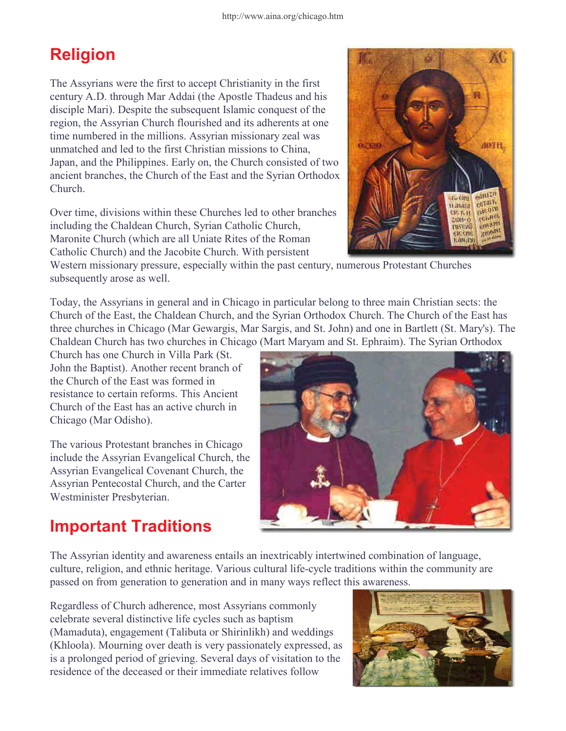## Religion

The Assyrians were the first to accept Christianity in the first century A.D. through Mar Addai (the Apostle Thadeus and his disciple Mari). Despite the subsequent Islamic conquest of the region, the Assyrian Church flourished and its adherents at one time numbered in the millions. Assyrian missionary zeal was unmatched and led to the first Christian missions to China, Japan, and the Philippines. Early on, the Church consisted of two ancient branches, the Church of the East and the Syrian Orthodox Church.

Over time, divisions within these Churches led to other branches including the Chaldean Church, Syrian Catholic Church, Maronite Church (which are all Uniate Rites of the Roman Catholic Church) and the Jacobite Church. With persistent



Western missionary pressure, especially within the past century, numerous Protestant Churches subsequently arose as well.

Today, the Assyrians in general and in Chicago in particular belong to three main Christian sects: the Church of the East, the Chaldean Church, and the Syrian Orthodox Church. The Church of the East has three churches in Chicago (Mar Gewargis, Mar Sargis, and St. John) and one in Bartlett (St. Mary's). The Chaldean Church has two churches in Chicago (Mart Maryam and St. Ephraim). The Syrian Orthodox

Church has one Church in Villa Park (St. John the Baptist). Another recent branch of the Church of the East was formed in resistance to certain reforms. This Ancient Church of the East has an active church in Chicago (Mar Odisho).

The various Protestant branches in Chicago include the Assyrian Evangelical Church, the Assyrian Evangelical Covenant Church, the Assyrian Pentecostal Church, and the Carter Westminister Presbyterian.



#### Important Traditions

The Assyrian identity and awareness entails an inextricably intertwined combination of language, culture, religion, and ethnic heritage. Various cultural life-cycle traditions within the community are passed on from generation to generation and in many ways reflect this awareness.

Regardless of Church adherence, most Assyrians commonly celebrate several distinctive life cycles such as baptism (Mamaduta), engagement (Talibuta or Shirinlikh) and weddings (Khloola). Mourning over death is very passionately expressed, as is a prolonged period of grieving. Several days of visitation to the residence of the deceased or their immediate relatives follow

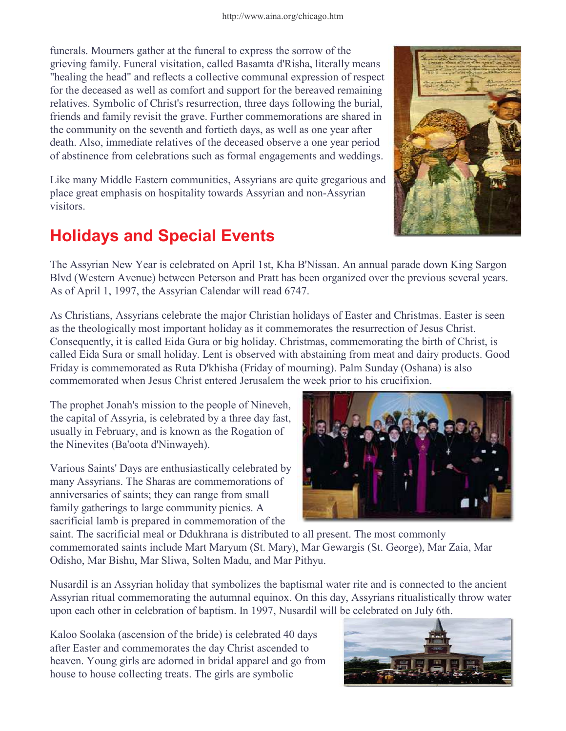funerals. Mourners gather at the funeral to express the sorrow of the grieving family. Funeral visitation, called Basamta d'Risha, literally means "healing the head" and reflects a collective communal expression of respect for the deceased as well as comfort and support for the bereaved remaining relatives. Symbolic of Christ's resurrection, three days following the burial, friends and family revisit the grave. Further commemorations are shared in the community on the seventh and fortieth days, as well as one year after death. Also, immediate relatives of the deceased observe a one year period of abstinence from celebrations such as formal engagements and weddings.

Like many Middle Eastern communities, Assyrians are quite gregarious and place great emphasis on hospitality towards Assyrian and non-Assyrian visitors.

## Holidays and Special Events

The Assyrian New Year is celebrated on April 1st, Kha B'Nissan. An annual parade down King Sargon Blvd (Western Avenue) between Peterson and Pratt has been organized over the previous several years. As of April 1, 1997, the Assyrian Calendar will read 6747.

As Christians, Assyrians celebrate the major Christian holidays of Easter and Christmas. Easter is seen as the theologically most important holiday as it commemorates the resurrection of Jesus Christ. Consequently, it is called Eida Gura or big holiday. Christmas, commemorating the birth of Christ, is called Eida Sura or small holiday. Lent is observed with abstaining from meat and dairy products. Good Friday is commemorated as Ruta D'khisha (Friday of mourning). Palm Sunday (Oshana) is also commemorated when Jesus Christ entered Jerusalem the week prior to his crucifixion.

The prophet Jonah's mission to the people of Nineveh, the capital of Assyria, is celebrated by a three day fast, usually in February, and is known as the Rogation of the Ninevites (Ba'oota d'Ninwayeh).

Various Saints' Days are enthusiastically celebrated by many Assyrians. The Sharas are commemorations of anniversaries of saints; they can range from small family gatherings to large community picnics. A sacrificial lamb is prepared in commemoration of the

saint. The sacrificial meal or Ddukhrana is distributed to all present. The most commonly commemorated saints include Mart Maryum (St. Mary), Mar Gewargis (St. George), Mar Zaia, Mar Odisho, Mar Bishu, Mar Sliwa, Solten Madu, and Mar Pithyu.

Nusardil is an Assyrian holiday that symbolizes the baptismal water rite and is connected to the ancient Assyrian ritual commemorating the autumnal equinox. On this day, Assyrians ritualistically throw water upon each other in celebration of baptism. In 1997, Nusardil will be celebrated on July 6th.

Kaloo Soolaka (ascension of the bride) is celebrated 40 days after Easter and commemorates the day Christ ascended to heaven. Young girls are adorned in bridal apparel and go from house to house collecting treats. The girls are symbolic



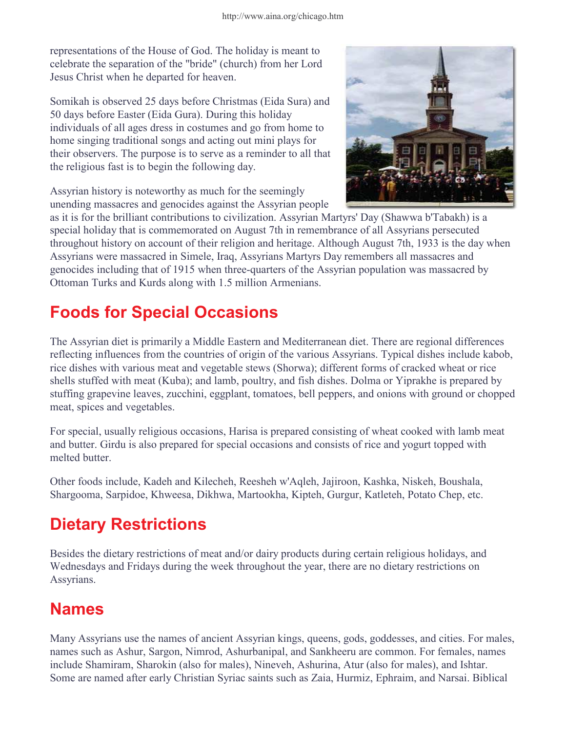representations of the House of God. The holiday is meant to celebrate the separation of the "bride" (church) from her Lord Jesus Christ when he departed for heaven.

Somikah is observed 25 days before Christmas (Eida Sura) and 50 days before Easter (Eida Gura). During this holiday individuals of all ages dress in costumes and go from home to home singing traditional songs and acting out mini plays for their observers. The purpose is to serve as a reminder to all that the religious fast is to begin the following day.

Assyrian history is noteworthy as much for the seemingly unending massacres and genocides against the Assyrian people



as it is for the brilliant contributions to civilization. Assyrian Martyrs' Day (Shawwa b'Tabakh) is a special holiday that is commemorated on August 7th in remembrance of all Assyrians persecuted throughout history on account of their religion and heritage. Although August 7th, 1933 is the day when Assyrians were massacred in Simele, Iraq, Assyrians Martyrs Day remembers all massacres and genocides including that of 1915 when three-quarters of the Assyrian population was massacred by Ottoman Turks and Kurds along with 1.5 million Armenians.

## Foods for Special Occasions

The Assyrian diet is primarily a Middle Eastern and Mediterranean diet. There are regional differences reflecting influences from the countries of origin of the various Assyrians. Typical dishes include kabob, rice dishes with various meat and vegetable stews (Shorwa); different forms of cracked wheat or rice shells stuffed with meat (Kuba); and lamb, poultry, and fish dishes. Dolma or Yiprakhe is prepared by stuffing grapevine leaves, zucchini, eggplant, tomatoes, bell peppers, and onions with ground or chopped meat, spices and vegetables.

For special, usually religious occasions, Harisa is prepared consisting of wheat cooked with lamb meat and butter. Girdu is also prepared for special occasions and consists of rice and yogurt topped with melted butter.

Other foods include, Kadeh and Kilecheh, Reesheh w'Aqleh, Jajiroon, Kashka, Niskeh, Boushala, Shargooma, Sarpidoe, Khweesa, Dikhwa, Martookha, Kipteh, Gurgur, Katleteh, Potato Chep, etc.

## Dietary Restrictions

Besides the dietary restrictions of meat and/or dairy products during certain religious holidays, and Wednesdays and Fridays during the week throughout the year, there are no dietary restrictions on Assyrians.

## Names

Many Assyrians use the names of ancient Assyrian kings, queens, gods, goddesses, and cities. For males, names such as Ashur, Sargon, Nimrod, Ashurbanipal, and Sankheeru are common. For females, names include Shamiram, Sharokin (also for males), Nineveh, Ashurina, Atur (also for males), and Ishtar. Some are named after early Christian Syriac saints such as Zaia, Hurmiz, Ephraim, and Narsai. Biblical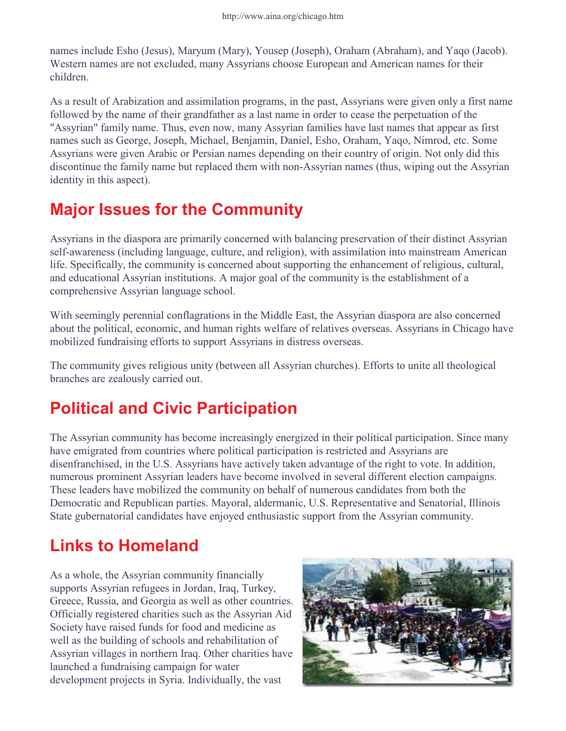names include Esho (Jesus), Maryum (Mary), Yousep (Joseph), Oraham (Abraham), and Yaqo (Jacob). Western names are not excluded, many Assyrians choose European and American names for their children.

As a result of Arabization and assimilation programs, in the past, Assyrians were given only a first name followed by the name of their grandfather as a last name in order to cease the perpetuation of the "Assyrian" family name. Thus, even now, many Assyrian families have last names that appear as first names such as George, Joseph, Michael, Benjamin, Daniel, Esho, Oraham, Yaqo, Nimrod, etc. Some Assyrians were given Arabic or Persian names depending on their country of origin. Not only did this discontinue the family name but replaced them with non-Assyrian names (thus, wiping out the Assyrian identity in this aspect).

#### Major Issues for the Community

Assyrians in the diaspora are primarily concerned with balancing preservation of their distinct Assyrian self-awareness (including language, culture, and religion), with assimilation into mainstream American life. Specifically, the community is concerned about supporting the enhancement of religious, cultural, and educational Assyrian institutions. A major goal of the community is the establishment of a comprehensive Assyrian language school.

With seemingly perennial conflagrations in the Middle East, the Assyrian diaspora are also concerned about the political, economic, and human rights welfare of relatives overseas. Assyrians in Chicago have mobilized fundraising efforts to support Assyrians in distress overseas.

The community gives religious unity (between all Assyrian churches). Efforts to unite all theological branches are zealously carried out.

## Political and Civic Participation

The Assyrian community has become increasingly energized in their political participation. Since many have emigrated from countries where political participation is restricted and Assyrians are disenfranchised, in the U.S. Assyrians have actively taken advantage of the right to vote. In addition, numerous prominent Assyrian leaders have become involved in several different election campaigns. These leaders have mobilized the community on behalf of numerous candidates from both the Democratic and Republican parties. Mayoral, aldermanic, U.S. Representative and Senatorial, Illinois State gubernatorial candidates have enjoyed enthusiastic support from the Assyrian community.

## Links to Homeland

As a whole, the Assyrian community financially supports Assyrian refugees in Jordan, Iraq, Turkey, Greece, Russia, and Georgia as well as other countries. Officially registered charities such as the Assyrian Aid Society have raised funds for food and medicine as well as the building of schools and rehabilitation of Assyrian villages in northern Iraq. Other charities have launched a fundraising campaign for water development projects in Syria. Individually, the vast

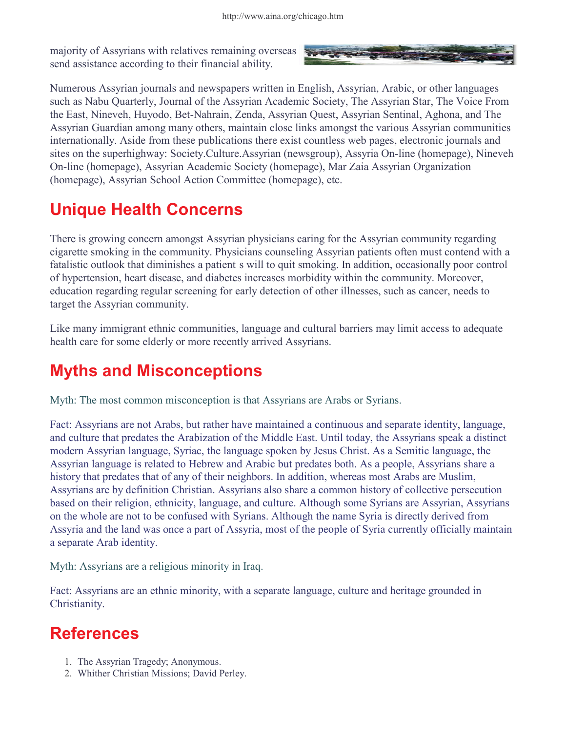majority of Assyrians with relatives remaining overseas send assistance according to their financial ability.



Numerous Assyrian journals and newspapers written in English, Assyrian, Arabic, or other languages such as Nabu Quarterly, Journal of the Assyrian Academic Society, The Assyrian Star, The Voice From the East, Nineveh, Huyodo, Bet-Nahrain, Zenda, Assyrian Quest, Assyrian Sentinal, Aghona, and The Assyrian Guardian among many others, maintain close links amongst the various Assyrian communities internationally. Aside from these publications there exist countless web pages, electronic journals and sites on the superhighway: Society.Culture.Assyrian (newsgroup), Assyria On-line (homepage), Nineveh On-line (homepage), Assyrian Academic Society (homepage), Mar Zaia Assyrian Organization (homepage), Assyrian School Action Committee (homepage), etc.

#### Unique Health Concerns

There is growing concern amongst Assyrian physicians caring for the Assyrian community regarding cigarette smoking in the community. Physicians counseling Assyrian patients often must contend with a fatalistic outlook that diminishes a patientís will to quit smoking. In addition, occasionally poor control of hypertension, heart disease, and diabetes increases morbidity within the community. Moreover, education regarding regular screening for early detection of other illnesses, such as cancer, needs to target the Assyrian community.

Like many immigrant ethnic communities, language and cultural barriers may limit access to adequate health care for some elderly or more recently arrived Assyrians.

#### Myths and Misconceptions

Myth: The most common misconception is that Assyrians are Arabs or Syrians.

Fact: Assyrians are not Arabs, but rather have maintained a continuous and separate identity, language, and culture that predates the Arabization of the Middle East. Until today, the Assyrians speak a distinct modern Assyrian language, Syriac, the language spoken by Jesus Christ. As a Semitic language, the Assyrian language is related to Hebrew and Arabic but predates both. As a people, Assyrians share a history that predates that of any of their neighbors. In addition, whereas most Arabs are Muslim, Assyrians are by definition Christian. Assyrians also share a common history of collective persecution based on their religion, ethnicity, language, and culture. Although some Syrians are Assyrian, Assyrians on the whole are not to be confused with Syrians. Although the name Syria is directly derived from Assyria and the land was once a part of Assyria, most of the people of Syria currently officially maintain a separate Arab identity.

Myth: Assyrians are a religious minority in Iraq.

Fact: Assyrians are an ethnic minority, with a separate language, culture and heritage grounded in Christianity.

#### References

- 1. The Assyrian Tragedy; Anonymous.
- 2. Whither Christian Missions; David Perley.